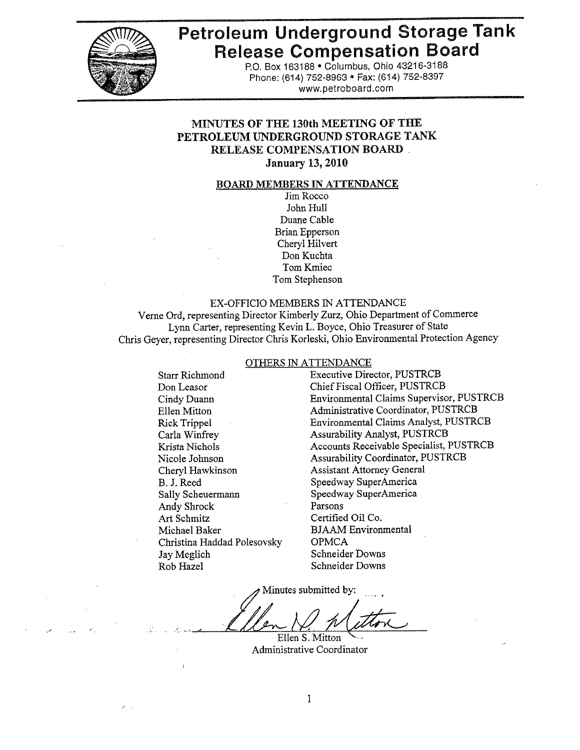

# **Petroleum Underground Storage Tank Release Compensation Board**

P.O. Box 163188 . Columbus, Ohio 43216-3188 Phone: (614) 752-8963 · Fax: (614) 752-8397 www.petroboard.com

#### MINUTES OF THE 130th MEETING OF THE PETROLEUM UNDERGROUND STORAGE TANK **RELEASE COMPENSATION BOARD. January 13, 2010**

#### **BOARD MEMBERS IN ATTENDANCE**

Jim Rocco John Hull Duane Cable **Brian Epperson** Cheryl Hilvert Don Kuchta Tom Kmiec Tom Stephenson

#### EX-OFFICIO MEMBERS IN ATTENDANCE

Verne Ord, representing Director Kimberly Zurz, Ohio Department of Commerce Lynn Carter, representing Kevin L. Boyce, Ohio Treasurer of State Chris Geyer, representing Director Chris Korleski, Ohio Environmental Protection Agency

#### OTHERS IN ATTENDANCE

**Starr Richmond** Don Leasor Cindy Duann Ellen Mitton **Rick Trippel** Carla Winfrey Krista Nichols Nicole Johnson Chervl Hawkinson B. J. Reed Sally Scheuermann **Andy Shrock** Art Schmitz Michael Baker Christina Haddad Polesovsky Jay Meglich Rob Hazel

**Executive Director, PUSTRCB** Chief Fiscal Officer, PUSTRCB **Environmental Claims Supervisor, PUSTRCB** Administrative Coordinator, PUSTRCB **Environmental Claims Analyst, PUSTRCB Assurability Analyst, PUSTRCB** Accounts Receivable Specialist, PUSTRCB **Assurability Coordinator, PUSTRCB Assistant Attorney General** Speedway SuperAmerica Speedway SuperAmerica Parsons Certified Oil Co. **BJAAM** Environmental **OPMCA Schneider Downs Schneider Downs** 

Minutes submitted by:

Ellen S. Mitton Administrative Coordinator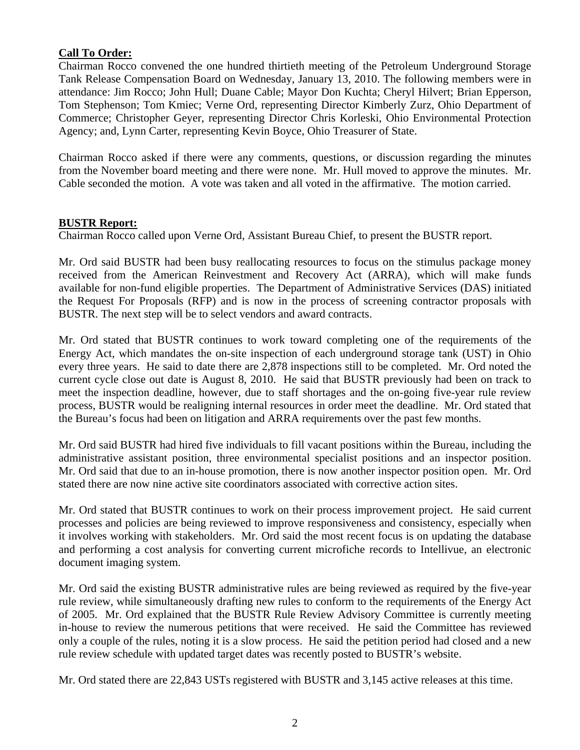## **Call To Order:**

Chairman Rocco convened the one hundred thirtieth meeting of the Petroleum Underground Storage Tank Release Compensation Board on Wednesday, January 13, 2010. The following members were in attendance: Jim Rocco; John Hull; Duane Cable; Mayor Don Kuchta; Cheryl Hilvert; Brian Epperson, Tom Stephenson; Tom Kmiec; Verne Ord, representing Director Kimberly Zurz, Ohio Department of Commerce; Christopher Geyer, representing Director Chris Korleski, Ohio Environmental Protection Agency; and, Lynn Carter, representing Kevin Boyce, Ohio Treasurer of State.

Chairman Rocco asked if there were any comments, questions, or discussion regarding the minutes from the November board meeting and there were none. Mr. Hull moved to approve the minutes. Mr. Cable seconded the motion. A vote was taken and all voted in the affirmative. The motion carried.

#### **BUSTR Report:**

Chairman Rocco called upon Verne Ord, Assistant Bureau Chief, to present the BUSTR report.

Mr. Ord said BUSTR had been busy reallocating resources to focus on the stimulus package money received from the American Reinvestment and Recovery Act (ARRA), which will make funds available for non-fund eligible properties. The Department of Administrative Services (DAS) initiated the Request For Proposals (RFP) and is now in the process of screening contractor proposals with BUSTR. The next step will be to select vendors and award contracts.

Mr. Ord stated that BUSTR continues to work toward completing one of the requirements of the Energy Act, which mandates the on-site inspection of each underground storage tank (UST) in Ohio every three years. He said to date there are 2,878 inspections still to be completed. Mr. Ord noted the current cycle close out date is August 8, 2010. He said that BUSTR previously had been on track to meet the inspection deadline, however, due to staff shortages and the on-going five-year rule review process, BUSTR would be realigning internal resources in order meet the deadline. Mr. Ord stated that the Bureau's focus had been on litigation and ARRA requirements over the past few months.

Mr. Ord said BUSTR had hired five individuals to fill vacant positions within the Bureau, including the administrative assistant position, three environmental specialist positions and an inspector position. Mr. Ord said that due to an in-house promotion, there is now another inspector position open. Mr. Ord stated there are now nine active site coordinators associated with corrective action sites.

Mr. Ord stated that BUSTR continues to work on their process improvement project. He said current processes and policies are being reviewed to improve responsiveness and consistency, especially when it involves working with stakeholders. Mr. Ord said the most recent focus is on updating the database and performing a cost analysis for converting current microfiche records to Intellivue, an electronic document imaging system.

Mr. Ord said the existing BUSTR administrative rules are being reviewed as required by the five-year rule review, while simultaneously drafting new rules to conform to the requirements of the Energy Act of 2005. Mr. Ord explained that the BUSTR Rule Review Advisory Committee is currently meeting in-house to review the numerous petitions that were received. He said the Committee has reviewed only a couple of the rules, noting it is a slow process. He said the petition period had closed and a new rule review schedule with updated target dates was recently posted to BUSTR's website.

Mr. Ord stated there are 22,843 USTs registered with BUSTR and 3,145 active releases at this time.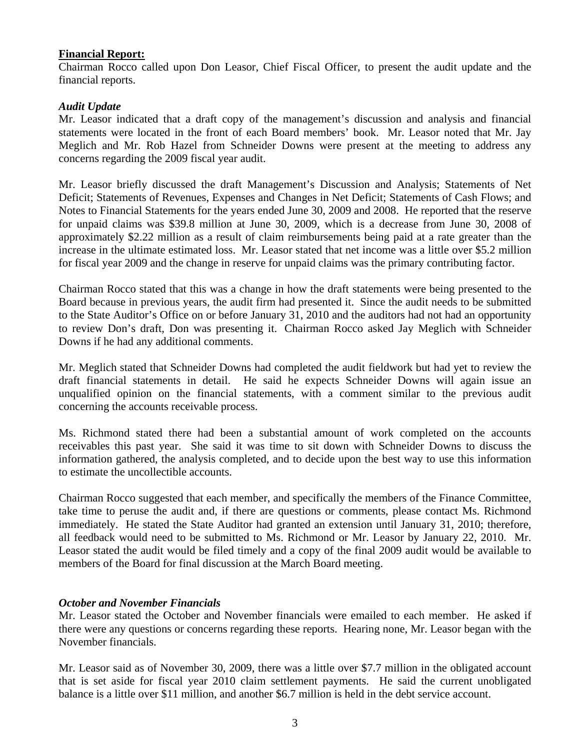#### **Financial Report:**

Chairman Rocco called upon Don Leasor, Chief Fiscal Officer, to present the audit update and the financial reports.

#### *Audit Update*

Mr. Leasor indicated that a draft copy of the management's discussion and analysis and financial statements were located in the front of each Board members' book. Mr. Leasor noted that Mr. Jay Meglich and Mr. Rob Hazel from Schneider Downs were present at the meeting to address any concerns regarding the 2009 fiscal year audit.

Mr. Leasor briefly discussed the draft Management's Discussion and Analysis; Statements of Net Deficit; Statements of Revenues, Expenses and Changes in Net Deficit; Statements of Cash Flows; and Notes to Financial Statements for the years ended June 30, 2009 and 2008. He reported that the reserve for unpaid claims was \$39.8 million at June 30, 2009, which is a decrease from June 30, 2008 of approximately \$2.22 million as a result of claim reimbursements being paid at a rate greater than the increase in the ultimate estimated loss. Mr. Leasor stated that net income was a little over \$5.2 million for fiscal year 2009 and the change in reserve for unpaid claims was the primary contributing factor.

Chairman Rocco stated that this was a change in how the draft statements were being presented to the Board because in previous years, the audit firm had presented it. Since the audit needs to be submitted to the State Auditor's Office on or before January 31, 2010 and the auditors had not had an opportunity to review Don's draft, Don was presenting it. Chairman Rocco asked Jay Meglich with Schneider Downs if he had any additional comments.

Mr. Meglich stated that Schneider Downs had completed the audit fieldwork but had yet to review the draft financial statements in detail. He said he expects Schneider Downs will again issue an unqualified opinion on the financial statements, with a comment similar to the previous audit concerning the accounts receivable process.

Ms. Richmond stated there had been a substantial amount of work completed on the accounts receivables this past year. She said it was time to sit down with Schneider Downs to discuss the information gathered, the analysis completed, and to decide upon the best way to use this information to estimate the uncollectible accounts.

Chairman Rocco suggested that each member, and specifically the members of the Finance Committee, take time to peruse the audit and, if there are questions or comments, please contact Ms. Richmond immediately. He stated the State Auditor had granted an extension until January 31, 2010; therefore, all feedback would need to be submitted to Ms. Richmond or Mr. Leasor by January 22, 2010. Mr. Leasor stated the audit would be filed timely and a copy of the final 2009 audit would be available to members of the Board for final discussion at the March Board meeting.

#### *October and November Financials*

Mr. Leasor stated the October and November financials were emailed to each member. He asked if there were any questions or concerns regarding these reports. Hearing none, Mr. Leasor began with the November financials.

Mr. Leasor said as of November 30, 2009, there was a little over \$7.7 million in the obligated account that is set aside for fiscal year 2010 claim settlement payments. He said the current unobligated balance is a little over \$11 million, and another \$6.7 million is held in the debt service account.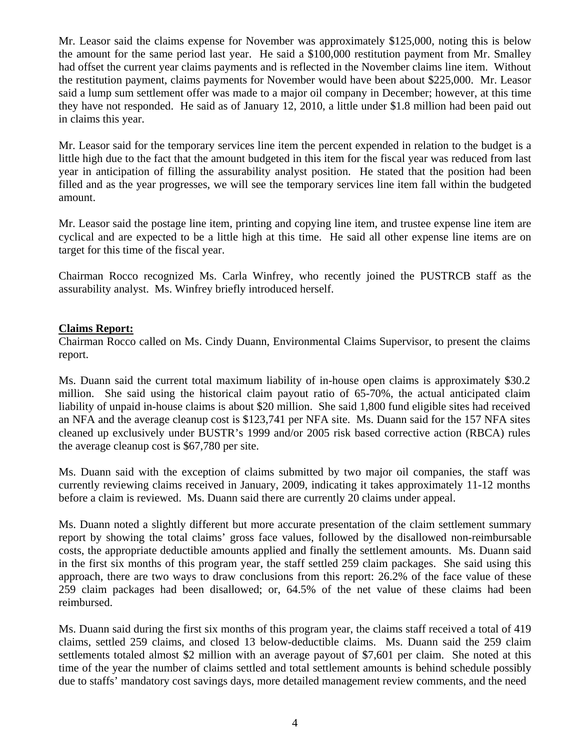Mr. Leasor said the claims expense for November was approximately \$125,000, noting this is below the amount for the same period last year. He said a \$100,000 restitution payment from Mr. Smalley had offset the current year claims payments and is reflected in the November claims line item. Without the restitution payment, claims payments for November would have been about \$225,000. Mr. Leasor said a lump sum settlement offer was made to a major oil company in December; however, at this time they have not responded. He said as of January 12, 2010, a little under \$1.8 million had been paid out in claims this year.

Mr. Leasor said for the temporary services line item the percent expended in relation to the budget is a little high due to the fact that the amount budgeted in this item for the fiscal year was reduced from last year in anticipation of filling the assurability analyst position. He stated that the position had been filled and as the year progresses, we will see the temporary services line item fall within the budgeted amount.

Mr. Leasor said the postage line item, printing and copying line item, and trustee expense line item are cyclical and are expected to be a little high at this time. He said all other expense line items are on target for this time of the fiscal year.

Chairman Rocco recognized Ms. Carla Winfrey, who recently joined the PUSTRCB staff as the assurability analyst. Ms. Winfrey briefly introduced herself.

#### **Claims Report:**

Chairman Rocco called on Ms. Cindy Duann, Environmental Claims Supervisor, to present the claims report.

Ms. Duann said the current total maximum liability of in-house open claims is approximately \$30.2 million. She said using the historical claim payout ratio of 65-70%, the actual anticipated claim liability of unpaid in-house claims is about \$20 million. She said 1,800 fund eligible sites had received an NFA and the average cleanup cost is \$123,741 per NFA site. Ms. Duann said for the 157 NFA sites cleaned up exclusively under BUSTR's 1999 and/or 2005 risk based corrective action (RBCA) rules the average cleanup cost is \$67,780 per site.

Ms. Duann said with the exception of claims submitted by two major oil companies, the staff was currently reviewing claims received in January, 2009, indicating it takes approximately 11-12 months before a claim is reviewed. Ms. Duann said there are currently 20 claims under appeal.

Ms. Duann noted a slightly different but more accurate presentation of the claim settlement summary report by showing the total claims' gross face values, followed by the disallowed non-reimbursable costs, the appropriate deductible amounts applied and finally the settlement amounts. Ms. Duann said in the first six months of this program year, the staff settled 259 claim packages. She said using this approach, there are two ways to draw conclusions from this report: 26.2% of the face value of these 259 claim packages had been disallowed; or, 64.5% of the net value of these claims had been reimbursed.

Ms. Duann said during the first six months of this program year, the claims staff received a total of 419 claims, settled 259 claims, and closed 13 below-deductible claims. Ms. Duann said the 259 claim settlements totaled almost \$2 million with an average payout of \$7,601 per claim. She noted at this time of the year the number of claims settled and total settlement amounts is behind schedule possibly due to staffs' mandatory cost savings days, more detailed management review comments, and the need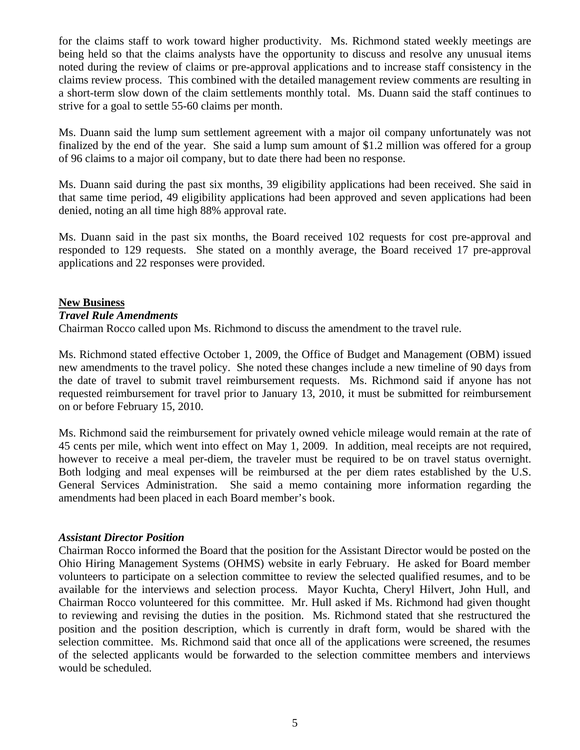for the claims staff to work toward higher productivity. Ms. Richmond stated weekly meetings are being held so that the claims analysts have the opportunity to discuss and resolve any unusual items noted during the review of claims or pre-approval applications and to increase staff consistency in the claims review process. This combined with the detailed management review comments are resulting in a short-term slow down of the claim settlements monthly total. Ms. Duann said the staff continues to strive for a goal to settle 55-60 claims per month.

Ms. Duann said the lump sum settlement agreement with a major oil company unfortunately was not finalized by the end of the year. She said a lump sum amount of \$1.2 million was offered for a group of 96 claims to a major oil company, but to date there had been no response.

Ms. Duann said during the past six months, 39 eligibility applications had been received. She said in that same time period, 49 eligibility applications had been approved and seven applications had been denied, noting an all time high 88% approval rate.

Ms. Duann said in the past six months, the Board received 102 requests for cost pre-approval and responded to 129 requests. She stated on a monthly average, the Board received 17 pre-approval applications and 22 responses were provided.

## **New Business**

#### *Travel Rule Amendments*

Chairman Rocco called upon Ms. Richmond to discuss the amendment to the travel rule.

Ms. Richmond stated effective October 1, 2009, the Office of Budget and Management (OBM) issued new amendments to the travel policy. She noted these changes include a new timeline of 90 days from the date of travel to submit travel reimbursement requests. Ms. Richmond said if anyone has not requested reimbursement for travel prior to January 13, 2010, it must be submitted for reimbursement on or before February 15, 2010.

Ms. Richmond said the reimbursement for privately owned vehicle mileage would remain at the rate of 45 cents per mile, which went into effect on May 1, 2009. In addition, meal receipts are not required, however to receive a meal per-diem, the traveler must be required to be on travel status overnight. Both lodging and meal expenses will be reimbursed at the per diem rates established by the U.S. General Services Administration. She said a memo containing more information regarding the amendments had been placed in each Board member's book.

#### *Assistant Director Position*

Chairman Rocco informed the Board that the position for the Assistant Director would be posted on the Ohio Hiring Management Systems (OHMS) website in early February. He asked for Board member volunteers to participate on a selection committee to review the selected qualified resumes, and to be available for the interviews and selection process. Mayor Kuchta, Cheryl Hilvert, John Hull, and Chairman Rocco volunteered for this committee. Mr. Hull asked if Ms. Richmond had given thought to reviewing and revising the duties in the position. Ms. Richmond stated that she restructured the position and the position description, which is currently in draft form, would be shared with the selection committee. Ms. Richmond said that once all of the applications were screened, the resumes of the selected applicants would be forwarded to the selection committee members and interviews would be scheduled.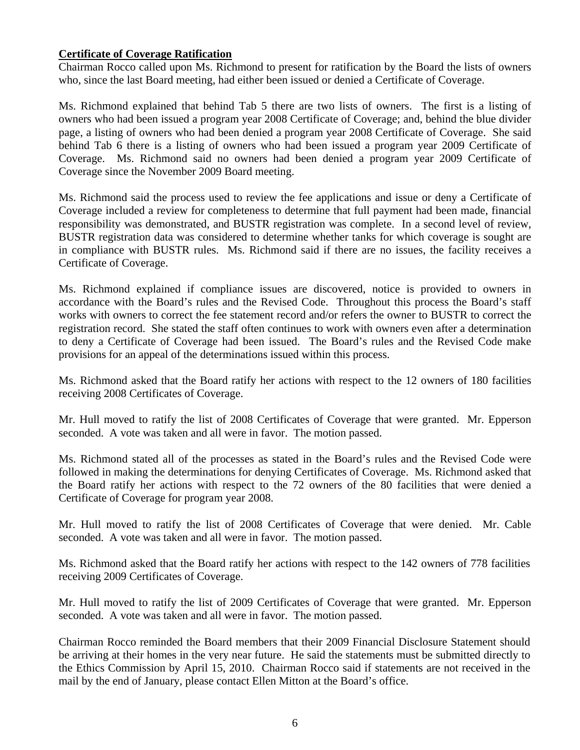## **Certificate of Coverage Ratification**

Chairman Rocco called upon Ms. Richmond to present for ratification by the Board the lists of owners who, since the last Board meeting, had either been issued or denied a Certificate of Coverage.

Ms. Richmond explained that behind Tab 5 there are two lists of owners. The first is a listing of owners who had been issued a program year 2008 Certificate of Coverage; and, behind the blue divider page, a listing of owners who had been denied a program year 2008 Certificate of Coverage. She said behind Tab 6 there is a listing of owners who had been issued a program year 2009 Certificate of Coverage. Ms. Richmond said no owners had been denied a program year 2009 Certificate of Coverage since the November 2009 Board meeting.

Ms. Richmond said the process used to review the fee applications and issue or deny a Certificate of Coverage included a review for completeness to determine that full payment had been made, financial responsibility was demonstrated, and BUSTR registration was complete. In a second level of review, BUSTR registration data was considered to determine whether tanks for which coverage is sought are in compliance with BUSTR rules. Ms. Richmond said if there are no issues, the facility receives a Certificate of Coverage.

Ms. Richmond explained if compliance issues are discovered, notice is provided to owners in accordance with the Board's rules and the Revised Code. Throughout this process the Board's staff works with owners to correct the fee statement record and/or refers the owner to BUSTR to correct the registration record. She stated the staff often continues to work with owners even after a determination to deny a Certificate of Coverage had been issued. The Board's rules and the Revised Code make provisions for an appeal of the determinations issued within this process.

Ms. Richmond asked that the Board ratify her actions with respect to the 12 owners of 180 facilities receiving 2008 Certificates of Coverage.

Mr. Hull moved to ratify the list of 2008 Certificates of Coverage that were granted. Mr. Epperson seconded. A vote was taken and all were in favor. The motion passed.

Ms. Richmond stated all of the processes as stated in the Board's rules and the Revised Code were followed in making the determinations for denying Certificates of Coverage. Ms. Richmond asked that the Board ratify her actions with respect to the 72 owners of the 80 facilities that were denied a Certificate of Coverage for program year 2008.

Mr. Hull moved to ratify the list of 2008 Certificates of Coverage that were denied. Mr. Cable seconded. A vote was taken and all were in favor. The motion passed.

Ms. Richmond asked that the Board ratify her actions with respect to the 142 owners of 778 facilities receiving 2009 Certificates of Coverage.

Mr. Hull moved to ratify the list of 2009 Certificates of Coverage that were granted. Mr. Epperson seconded. A vote was taken and all were in favor. The motion passed.

Chairman Rocco reminded the Board members that their 2009 Financial Disclosure Statement should be arriving at their homes in the very near future. He said the statements must be submitted directly to the Ethics Commission by April 15, 2010. Chairman Rocco said if statements are not received in the mail by the end of January, please contact Ellen Mitton at the Board's office.